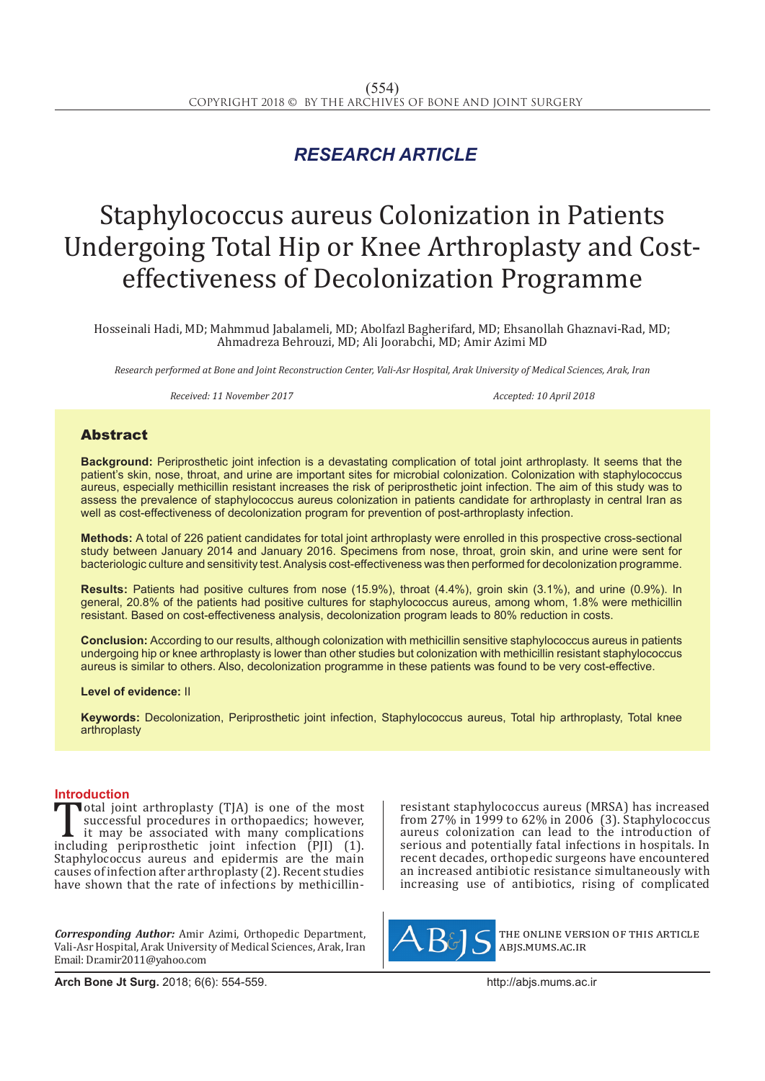## *RESEARCH ARTICLE*

# Staphylococcus aureus Colonization in Patients Undergoing Total Hip or Knee Arthroplasty and Costeffectiveness of Decolonization Programme

Hosseinali Hadi, MD; Mahmmud Jabalameli, MD; Abolfazl Bagherifard, MD; Ehsanollah Ghaznavi-Rad, MD; Ahmadreza Behrouzi, MD; Ali Joorabchi, MD; Amir Azimi MD

*Research performed at Bone and Joint Reconstruction Center, Vali-Asr Hospital, Arak University of Medical Sciences, Arak, Iran*

*Received: 11 November 2017 Accepted: 10 April 2018*

### Abstract

**Background:** Periprosthetic joint infection is a devastating complication of total joint arthroplasty. It seems that the patient's skin, nose, throat, and urine are important sites for microbial colonization. Colonization with staphylococcus aureus, especially methicillin resistant increases the risk of periprosthetic joint infection. The aim of this study was to assess the prevalence of staphylococcus aureus colonization in patients candidate for arthroplasty in central Iran as well as cost-effectiveness of decolonization program for prevention of post-arthroplasty infection.

**Methods:** A total of 226 patient candidates for total joint arthroplasty were enrolled in this prospective cross-sectional study between January 2014 and January 2016. Specimens from nose, throat, groin skin, and urine were sent for bacteriologic culture and sensitivity test. Analysis cost-effectiveness was then performed for decolonization programme.

**Results:** Patients had positive cultures from nose (15.9%), throat (4.4%), groin skin (3.1%), and urine (0.9%). In general, 20.8% of the patients had positive cultures for staphylococcus aureus, among whom, 1.8% were methicillin resistant. Based on cost-effectiveness analysis, decolonization program leads to 80% reduction in costs.

**Conclusion:** According to our results, although colonization with methicillin sensitive staphylococcus aureus in patients undergoing hip or knee arthroplasty is lower than other studies but colonization with methicillin resistant staphylococcus aureus is similar to others. Also, decolonization programme in these patients was found to be very cost-effective.

**Level of evidence:** II

**Keywords:** Decolonization, Periprosthetic joint infection, Staphylococcus aureus, Total hip arthroplasty, Total knee arthroplasty

**Introduction**<br>**T**otal joint arthroplasty (TJA) is one of the most Total joint arthroplasty (TJA) is one of the most<br>successful procedures in orthopaedics; however,<br>it may be associated with many complications<br>including periprosthetic joint infection (PJI) (1).<br>Stanbulogogy aureus and epi successful procedures in orthopaedics; however, it may be associated with many complications including periprosthetic joint infection (PJI) (1). Staphylococcus aureus and epidermis are the main causes of infection after arthroplasty (2). Recent studies have shown that the rate of infections by methicillin-

*Corresponding Author:* Amir Azimi, Orthopedic Department, Vali-Asr Hospital, Arak University of Medical Sciences, Arak, Iran Email: Dr.amir2011@yahoo.com

resistant staphylococcus aureus (MRSA) has increased from 27% in 1999 to 62% in 2006 (3). Staphylococcus aureus colonization can lead to the introduction of serious and potentially fatal infections in hospitals. In recent decades, orthopedic surgeons have encountered an increased antibiotic resistance simultaneously with increasing use of antibiotics, rising of complicated



the online version of this article abjs.mums.ac.ir

**Arch Bone Jt Surg.** 2018; 6(6): 554-559.http://abjs.mums.ac.ir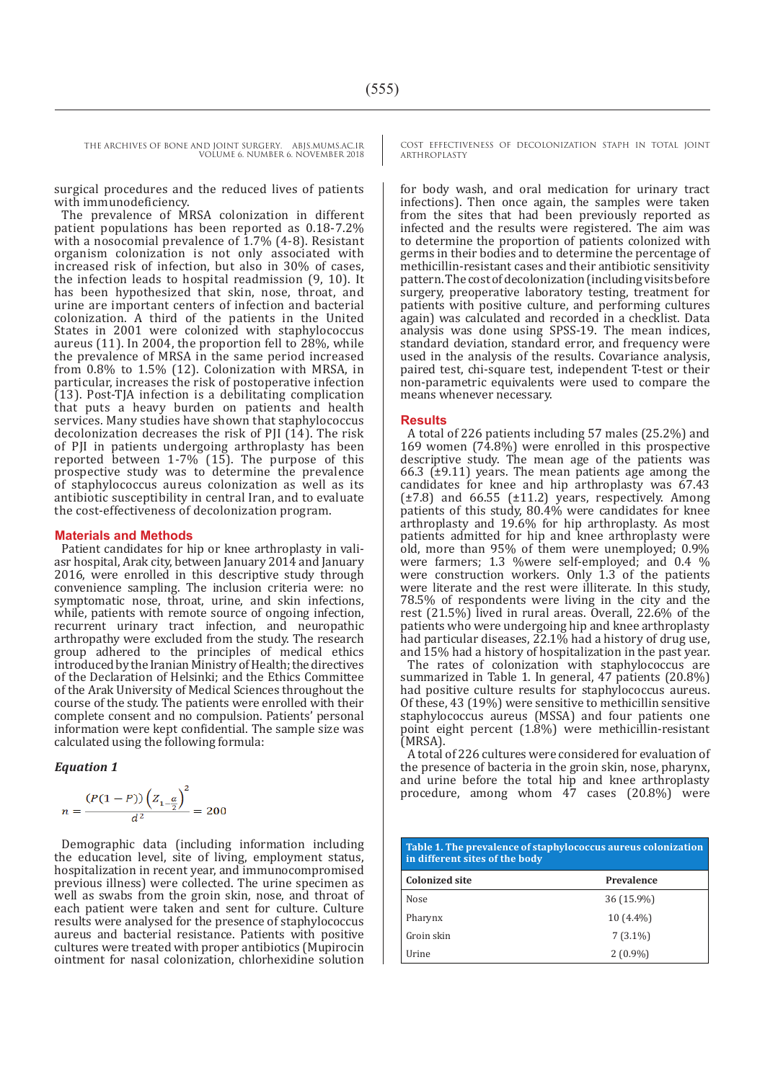> surgical procedures and the reduced lives of patients with immunodeficiency.

> The prevalence of MRSA colonization in different patient populations has been reported as 0.18-7.2% with a nosocomial prevalence of 1.7% (4-8). Resistant organism colonization is not only associated with increased risk of infection, but also in 30% of cases, the infection leads to hospital readmission (9, 10). It has been hypothesized that skin, nose, throat, and urine are important centers of infection and bacterial colonization. A third of the patients in the United States in 2001 were colonized with staphylococcus aureus (11). In 2004, the proportion fell to 28%, while the prevalence of MRSA in the same period increased from 0.8% to 1.5% (12). Colonization with MRSA, in particular, increases the risk of postoperative infection (13). Post-TJA infection is a debilitating complication that puts a heavy burden on patients and health services. Many studies have shown that staphylococcus decolonization decreases the risk of PJI (14). The risk of PJI in patients undergoing arthroplasty has been reported between 1-7% (15). The purpose of this prospective study was to determine the prevalence of staphylococcus aureus colonization as well as its antibiotic susceptibility in central Iran, and to evaluate the cost-effectiveness of decolonization program.

#### **Materials and Methods**

Patient candidates for hip or knee arthroplasty in valiasr hospital, Arak city, between January 2014 and January 2016, were enrolled in this descriptive study through convenience sampling. The inclusion criteria were: no symptomatic nose, throat, urine, and skin infections, while, patients with remote source of ongoing infection, recurrent urinary tract infection, and neuropathic arthropathy were excluded from the study. The research group adhered to the principles of medical ethics introduced by the Iranian Ministry of Health; the directives of the Declaration of Helsinki; and the Ethics Committee of the Arak University of Medical Sciences throughout the course of the study. The patients were enrolled with their complete consent and no compulsion. Patients' personal information were kept confidential. The sample size was calculated using the following formula:

*Equation 1*

$$
n = \frac{(P(1 - P)) (Z_{1 - \frac{\alpha}{2}})^{2}}{d^{2}} = 200
$$

Demographic data (including information including the education level, site of living, employment status, hospitalization in recent year, and immunocompromised previous illness) were collected. The urine specimen as well as swabs from the groin skin, nose, and throat of each patient were taken and sent for culture. Culture results were analysed for the presence of staphylococcus aureus and bacterial resistance. Patients with positive cultures were treated with proper antibiotics (Mupirocin ointment for nasal colonization, chlorhexidine solution COST EFFECTIVENESS OF DECOLONIZATION STAPH IN TOTAL JOINT ARTHROPLASTY

for body wash, and oral medication for urinary tract infections). Then once again, the samples were taken from the sites that had been previously reported as infected and the results were registered. The aim was to determine the proportion of patients colonized with germs in their bodies and to determine the percentage of methicillin-resistant cases and their antibiotic sensitivity pattern. The cost of decolonization (including visits before surgery, preoperative laboratory testing, treatment for patients with positive culture, and performing cultures again) was calculated and recorded in a checklist. Data analysis was done using SPSS-19. The mean indices, standard deviation, standard error, and frequency were used in the analysis of the results. Covariance analysis, paired test, chi-square test, independent T-test or their non-parametric equivalents were used to compare the means whenever necessary.

#### **Results**

A total of 226 patients including 57 males (25.2%) and 169 women (74.8%) were enrolled in this prospective descriptive study. The mean age of the patients was 66.3 ( $\pm$ 9.11) years. The mean patients age among the candidates for knee and hip arthroplasty was 67.43  $(\pm 7.8)$  and 66.55  $(\pm 11.2)$  years, respectively. Among patients of this study, 80.4% were candidates for knee arthroplasty and 19.6% for hip arthroplasty. As most patients admitted for hip and knee arthroplasty were old, more than 95% of them were unemployed; 0.9% were farmers; 1.3 %were self-employed; and 0.4 % were construction workers. Only 1.3 of the patients were literate and the rest were illiterate. In this study, 78.5% of respondents were living in the city and the rest (21.5%) lived in rural areas. Overall, 22.6% of the patients who were undergoing hip and knee arthroplasty had particular diseases, 22.1% had a history of drug use, and 15% had a history of hospitalization in the past year.

The rates of colonization with staphylococcus are summarized in Table 1. In general, 47 patients (20.8%) had positive culture results for staphylococcus aureus. Of these, 43 (19%) were sensitive to methicillin sensitive staphylococcus aureus (MSSA) and four patients one point eight percent (1.8%) were methicillin-resistant (MRSA).

A total of 226 cultures were considered for evaluation of the presence of bacteria in the groin skin, nose, pharynx, and urine before the total hip and knee arthroplasty procedure, among whom 47 cases (20.8%) were

| Table 1. The prevalence of staphylococcus aureus colonization<br>in different sites of the body |             |  |  |  |
|-------------------------------------------------------------------------------------------------|-------------|--|--|--|
| <b>Colonized site</b>                                                                           | Prevalence  |  |  |  |
| Nose                                                                                            | 36 (15.9%)  |  |  |  |
| Pharynx                                                                                         | $10(4.4\%)$ |  |  |  |
| Groin skin                                                                                      | $7(3.1\%)$  |  |  |  |
| Urine                                                                                           | $2(0.9\%)$  |  |  |  |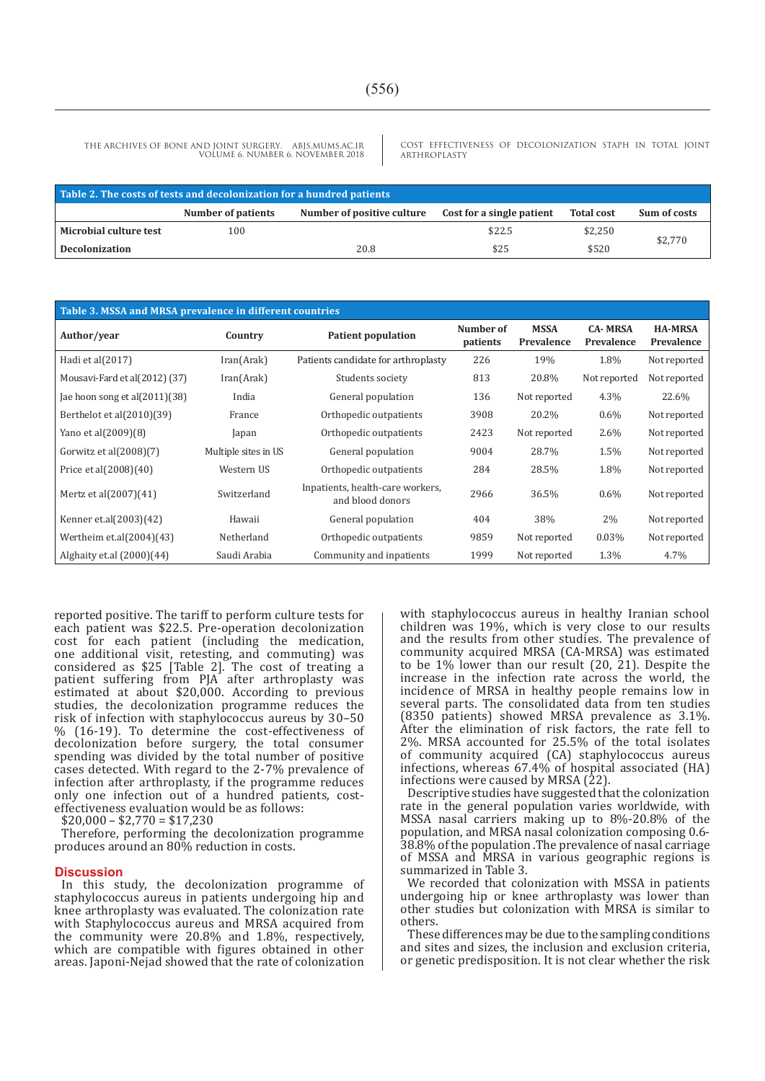COST EFFECTIVENESS OF DECOLONIZATION STAPH IN TOTAL JOINT ARTHROPLASTY

| Table 2. The costs of tests and decolonization for a hundred patients |                    |                            |                           |                   |              |  |  |  |
|-----------------------------------------------------------------------|--------------------|----------------------------|---------------------------|-------------------|--------------|--|--|--|
|                                                                       | Number of patients | Number of positive culture | Cost for a single patient | <b>Total cost</b> | Sum of costs |  |  |  |
| Microbial culture test                                                | 100                |                            | \$22.5                    | \$2,250           |              |  |  |  |
| <b>Decolonization</b>                                                 |                    | 20.8                       | \$25                      | \$520             | \$2.770      |  |  |  |

| Table 3. MSSA and MRSA prevalence in different countries |                      |                                                      |                       |                           |                              |                              |  |  |  |
|----------------------------------------------------------|----------------------|------------------------------------------------------|-----------------------|---------------------------|------------------------------|------------------------------|--|--|--|
| Author/year                                              | Country              | <b>Patient population</b>                            | Number of<br>patients | <b>MSSA</b><br>Prevalence | <b>CA-MRSA</b><br>Prevalence | <b>HA-MRSA</b><br>Prevalence |  |  |  |
| Hadi et al(2017)                                         | Iran(Arak)           | Patients candidate for arthroplasty                  | 226                   | 19%                       | 1.8%                         | Not reported                 |  |  |  |
| Mousavi-Fard et al(2012) (37)                            | Iran(Arak)           | Students society                                     | 813                   | 20.8%                     | Not reported                 | Not reported                 |  |  |  |
| Jae hoon song et al(2011)(38)                            | India                | General population                                   | 136                   | Not reported              | 4.3%                         | 22.6%                        |  |  |  |
| Berthelot et al $(2010)(39)$                             | France               | Orthopedic outpatients                               | 3908                  | 20.2%                     | $0.6\%$                      | Not reported                 |  |  |  |
| Yano et al(2009)(8)                                      | Japan                | Orthopedic outpatients                               | 2423                  | Not reported              | 2.6%                         | Not reported                 |  |  |  |
| Gorwitz et al $(2008)(7)$                                | Multiple sites in US | General population                                   | 9004                  | 28.7%                     | 1.5%                         | Not reported                 |  |  |  |
| Price et al(2008)(40)                                    | Western US           | Orthopedic outpatients                               | 284                   | 28.5%                     | 1.8%                         | Not reported                 |  |  |  |
| Mertz et al $(2007)(41)$                                 | Switzerland          | Inpatients, health-care workers,<br>and blood donors | 2966                  | 36.5%                     | $0.6\%$                      | Not reported                 |  |  |  |
| Kenner et.al(2003)(42)                                   | Hawaii               | General population                                   | 404                   | 38%                       | 2%                           | Not reported                 |  |  |  |
| Wertheim et.al $(2004)(43)$                              | Netherland           | Orthopedic outpatients                               | 9859                  | Not reported              | 0.03%                        | Not reported                 |  |  |  |
| Alghaity et.al $(2000)(44)$                              | Saudi Arabia         | Community and inpatients                             | 1999                  | Not reported              | 1.3%                         | 4.7%                         |  |  |  |

reported positive. The tariff to perform culture tests for each patient was \$22.5. Pre-operation decolonization cost for each patient (including the medication, one additional visit, retesting, and commuting) was considered as \$25 [Table 2]. The cost of treating a patient suffering from PJA after arthroplasty was estimated at about \$20,000. According to previous studies, the decolonization programme reduces the risk of infection with staphylococcus aureus by 30–50 % (16-19). To determine the cost-effectiveness of decolonization before surgery, the total consumer spending was divided by the total number of positive cases detected. With regard to the 2-7% prevalence of infection after arthroplasty, if the programme reduces only one infection out of a hundred patients, costeffectiveness evaluation would be as follows:

 $$20,000 - $2,770 = $17,230$ 

Therefore, performing the decolonization programme produces around an 80% reduction in costs.

#### **Discussion**

In this study, the decolonization programme of staphylococcus aureus in patients undergoing hip and knee arthroplasty was evaluated. The colonization rate with Staphylococcus aureus and MRSA acquired from the community were 20.8% and 1.8%, respectively, which are compatible with figures obtained in other areas. Japoni-Nejad showed that the rate of colonization with staphylococcus aureus in healthy Iranian school children was 19%, which is very close to our results and the results from other studies. The prevalence of community acquired MRSA (CA-MRSA) was estimated to be 1% lower than our result (20, 21). Despite the increase in the infection rate across the world, the incidence of MRSA in healthy people remains low in several parts. The consolidated data from ten studies (8350 patients) showed MRSA prevalence as 3.1%. After the elimination of risk factors, the rate fell to 2%. MRSA accounted for 25.5% of the total isolates of community acquired (CA) staphylococcus aureus infections, whereas 67.4% of hospital associated (HA) infections were caused by MRSA (22).

Descriptive studies have suggested that the colonization rate in the general population varies worldwide, with MSSA nasal carriers making up to 8%-20.8% of the population, and MRSA nasal colonization composing 0.6- 38.8% of the population .The prevalence of nasal carriage of MSSA and MRSA in various geographic regions is summarized in Table 3.

We recorded that colonization with MSSA in patients undergoing hip or knee arthroplasty was lower than other studies but colonization with MRSA is similar to others.

These differences may be due to the sampling conditions and sites and sizes, the inclusion and exclusion criteria, or genetic predisposition. It is not clear whether the risk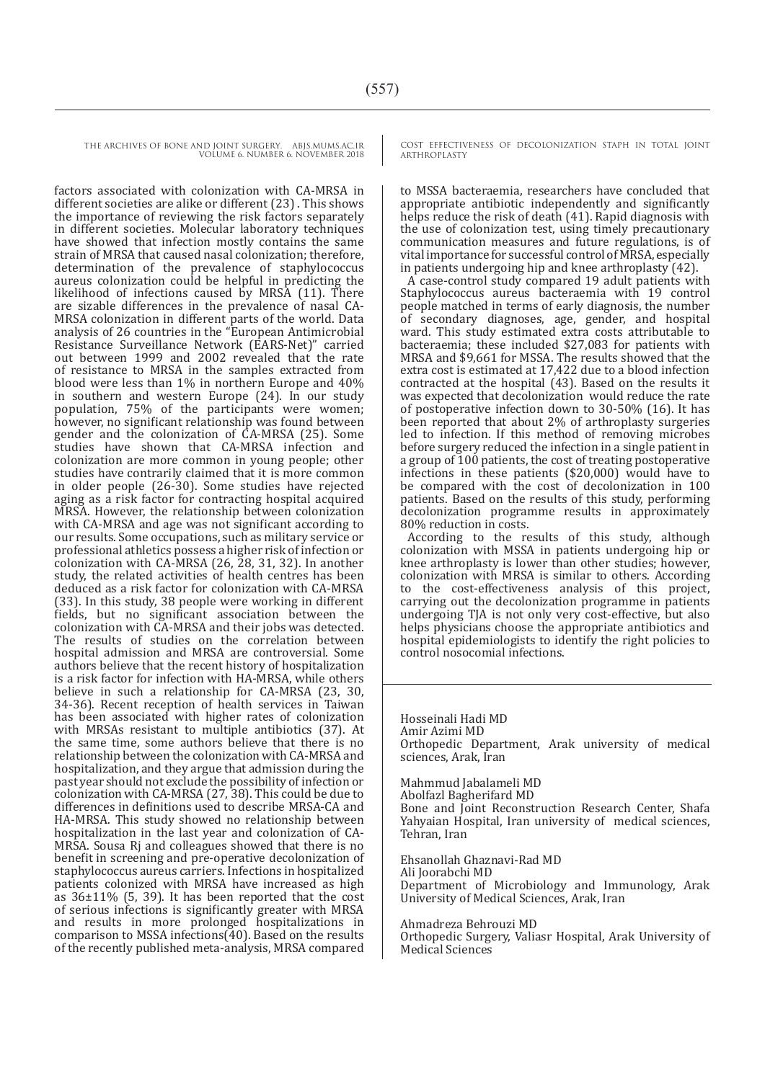factors associated with colonization with CA-MRSA in different societies are alike or different (23) . This shows the importance of reviewing the risk factors separately in different societies. Molecular laboratory techniques have showed that infection mostly contains the same strain of MRSA that caused nasal colonization; therefore, determination of the prevalence of staphylococcus aureus colonization could be helpful in predicting the likelihood of infections caused by MRSA (11). There are sizable differences in the prevalence of nasal CA-MRSA colonization in different parts of the world. Data analysis of 26 countries in the "European Antimicrobial Resistance Surveillance Network (EARS-Net)" carried out between 1999 and 2002 revealed that the rate of resistance to MRSA in the samples extracted from blood were less than 1% in northern Europe and 40% in southern and western Europe (24). In our study population, 75% of the participants were women; however, no significant relationship was found between gender and the colonization of CA-MRSA (25). Some studies have shown that CA-MRSA infection and colonization are more common in young people; other studies have contrarily claimed that it is more common in older people (26-30). Some studies have rejected aging as a risk factor for contracting hospital acquired MRSA. However, the relationship between colonization with CA-MRSA and age was not significant according to our results. Some occupations, such as military service or professional athletics possess a higher risk of infection or colonization with CA-MRSA (26, 28, 31, 32). In another study, the related activities of health centres has been deduced as a risk factor for colonization with CA-MRSA (33). In this study, 38 people were working in different fields, but no significant association between the colonization with CA-MRSA and their jobs was detected. The results of studies on the correlation between hospital admission and MRSA are controversial. Some authors believe that the recent history of hospitalization is a risk factor for infection with HA-MRSA, while others believe in such a relationship for CA-MRSA (23, 30, 34-36). Recent reception of health services in Taiwan has been associated with higher rates of colonization with MRSAs resistant to multiple antibiotics (37). At the same time, some authors believe that there is no relationship between the colonization with CA-MRSA and hospitalization, and they argue that admission during the past year should not exclude the possibility of infection or colonization with CA-MRSA (27, 38). This could be due to differences in definitions used to describe MRSA-CA and HA-MRSA. This study showed no relationship between hospitalization in the last year and colonization of CA-MRSA. Sousa Rj and colleagues showed that there is no benefit in screening and pre-operative decolonization of staphylococcus aureus carriers. Infections in hospitalized patients colonized with MRSA have increased as high as  $36\pm11\%$  (5, 39). It has been reported that the cost of serious infections is significantly greater with MRSA and results in more prolonged hospitalizations in comparison to MSSA infections(40). Based on the results of the recently published meta-analysis, MRSA compared

COST EFFECTIVENESS OF DECOLONIZATION STAPH IN TOTAL JOINT ARTHROPLASTY

to MSSA bacteraemia, researchers have concluded that appropriate antibiotic independently and significantly helps reduce the risk of death (41). Rapid diagnosis with the use of colonization test, using timely precautionary communication measures and future regulations, is of vital importance for successful control of MRSA, especially in patients undergoing hip and knee arthroplasty (42).

A case-control study compared 19 adult patients with Staphylococcus aureus bacteraemia with 19 control people matched in terms of early diagnosis, the number of secondary diagnoses, age, gender, and hospital ward. This study estimated extra costs attributable to bacteraemia; these included \$27,083 for patients with MRSA and \$9,661 for MSSA. The results showed that the extra cost is estimated at 17,422 due to a blood infection contracted at the hospital (43). Based on the results it was expected that decolonization would reduce the rate of postoperative infection down to 30-50% (16). It has been reported that about 2% of arthroplasty surgeries led to infection. If this method of removing microbes before surgery reduced the infection in a single patient in a group of 100 patients, the cost of treating postoperative infections in these patients (\$20,000) would have to be compared with the cost of decolonization in 100 patients. Based on the results of this study, performing decolonization programme results in approximately 80% reduction in costs.

According to the results of this study, although colonization with MSSA in patients undergoing hip or knee arthroplasty is lower than other studies; however, colonization with MRSA is similar to others. According to the cost-effectiveness analysis of this project, carrying out the decolonization programme in patients undergoing TJA is not only very cost-effective, but also helps physicians choose the appropriate antibiotics and hospital epidemiologists to identify the right policies to control nosocomial infections.

Hosseinali Hadi MD Amir Azimi MD Orthopedic Department, Arak university of medical sciences, Arak, Iran

Mahmmud Jabalameli MD Abolfazl Bagherifard MD Bone and Joint Reconstruction Research Center, Shafa Yahyaian Hospital, Iran university of medical sciences, Tehran, Iran

Ehsanollah Ghaznavi-Rad MD Ali Joorabchi MD Department of Microbiology and Immunology, Arak University of Medical Sciences, Arak, Iran

Ahmadreza Behrouzi MD Orthopedic Surgery, Valiasr Hospital, Arak University of Medical Sciences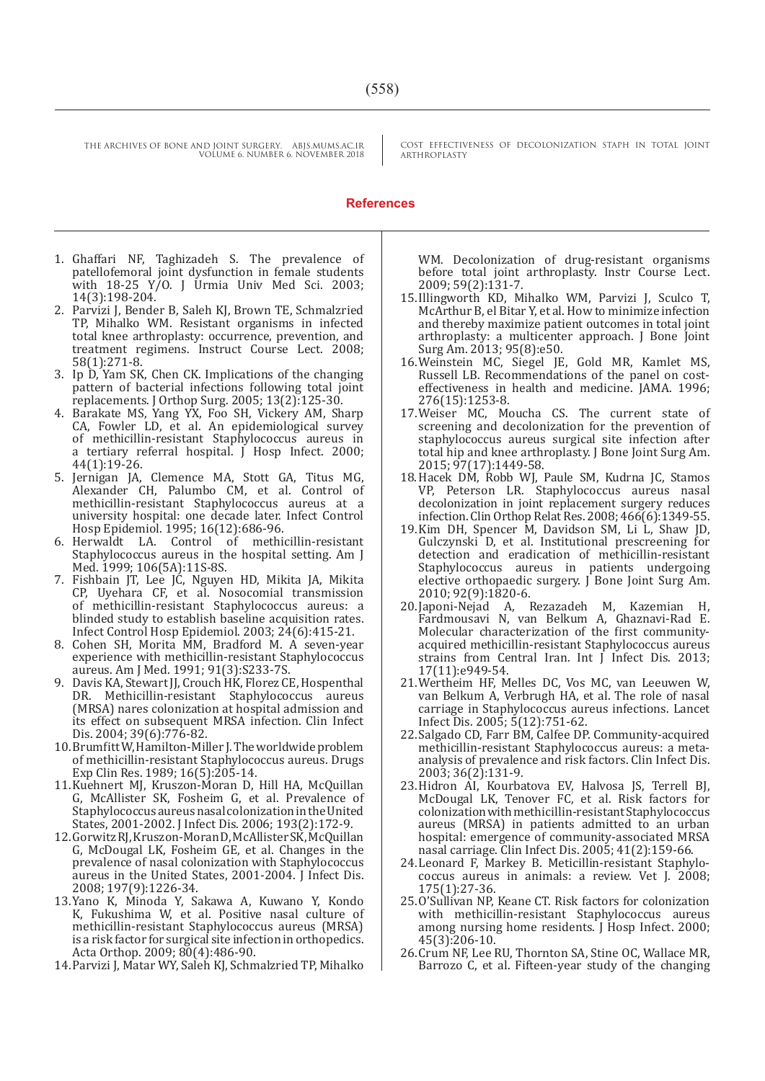COST EFFECTIVENESS OF DECOLONIZATION STAPH IN TOTAL JOINT ARTHROPLASTY

#### **References**

- 1. Ghaffari NF, Taghizadeh S. The prevalence of patellofemoral joint dysfunction in female students with 18-25 Y/O. J Urmia Univ Med Sci. 2003; 14(3):198-204.
- 2. Parvizi J, Bender B, Saleh KJ, Brown TE, Schmalzried TP, Mihalko WM. Resistant organisms in infected total knee arthroplasty: occurrence, prevention, and treatment regimens. Instruct Course Lect. 2008; 58(1):271-8.
- 3. Ip D, Yam SK, Chen CK. Implications of the changing pattern of bacterial infections following total joint replacements. J Orthop Surg. 2005; 13(2):125-30.
- 4. Barakate MS, Yang YX, Foo SH, Vickery AM, Sharp CA, Fowler LD, et al. An epidemiological survey of methicillin-resistant Staphylococcus aureus in a tertiary referral hospital. J Hosp Infect. 2000; 44(1):19-26.
- 5. Jernigan JA, Clemence MA, Stott GA, Titus MG, Alexander CH, Palumbo CM, et al. Control of methicillin-resistant Staphylococcus aureus at a university hospital: one decade later. Infect Control Hosp Epidemiol. 1995; 16(12):686-96.
- 6. Herwaldt LA. Control of methicillin-resistant Staphylococcus aureus in the hospital setting. Am J Med. 1999; 106(5A):11S-8S.
- 7. Fishbain JT, Lee JC, Nguyen HD, Mikita JA, Mikita CP, Uyehara CF, et al. Nosocomial transmission of methicillin-resistant Staphylococcus aureus: a blinded study to establish baseline acquisition rates. Infect Control Hosp Epidemiol. 2003; 24(6):415-21.
- 8. Cohen SH, Morita MM, Bradford M. A seven-year experience with methicillin-resistant Staphylococcus aureus. Am J Med. 1991; 91(3):S233-7S.
- 9. Davis KA, Stewart JJ, Crouch HK, Florez CE, Hospenthal DR. Methicillin-resistant Staphylococcus aureus (MRSA) nares colonization at hospital admission and its effect on subsequent MRSA infection. Clin Infect Dis. 2004; 39(6):776-82.
- 10.Brumfitt W, Hamilton-Miller J. The worldwide problem of methicillin-resistant Staphylococcus aureus. Drugs Exp Clin Res. 1989; 16(5):205-14.
- 11.Kuehnert MJ, Kruszon-Moran D, Hill HA, McQuillan G, McAllister SK, Fosheim G, et al. Prevalence of Staphylococcus aureus nasal colonization in the United States, 2001-2002. J Infect Dis. 2006; 193(2):172-9.
- 12.Gorwitz RJ, Kruszon-Moran D, McAllister SK, McQuillan G, McDougal LK, Fosheim GE, et al. Changes in the prevalence of nasal colonization with Staphylococcus aureus in the United States, 2001-2004. J Infect Dis. 2008; 197(9):1226-34.
- 13.Yano K, Minoda Y, Sakawa A, Kuwano Y, Kondo K, Fukushima W, et al. Positive nasal culture of methicillin-resistant Staphylococcus aureus (MRSA) is a risk factor for surgical site infection in orthopedics. Acta Orthop. 2009; 80(4):486-90.
- 14.Parvizi J, Matar WY, Saleh KJ, Schmalzried TP, Mihalko

WM. Decolonization of drug-resistant organisms before total joint arthroplasty. Instr Course Lect. 2009; 59(2):131-7.

- 15.Illingworth KD, Mihalko WM, Parvizi J, Sculco T, McArthur B, el Bitar Y, et al. How to minimize infection and thereby maximize patient outcomes in total joint arthroplasty: a multicenter approach. J Bone Joint Surg Am. 2013; 95(8):e50.
- 16.Weinstein MC, Siegel JE, Gold MR, Kamlet MS, Russell LB. Recommendations of the panel on costeffectiveness in health and medicine. JAMA. 1996; 276(15):1253-8.
- 17.Weiser MC, Moucha CS. The current state of screening and decolonization for the prevention of staphylococcus aureus surgical site infection after total hip and knee arthroplasty. J Bone Joint Surg Am. 2015; 97(17):1449-58.
- 18.Hacek DM, Robb WJ, Paule SM, Kudrna JC, Stamos VP, Peterson LR. Staphylococcus aureus nasal decolonization in joint replacement surgery reduces infection. Clin Orthop Relat Res. 2008; 466(6):1349-55.
- 19.Kim DH, Spencer M, Davidson SM, Li L, Shaw JD, Gulczynski D, et al. Institutional prescreening for detection and eradication of methicillin-resistant Staphylococcus aureus in patients undergoing elective orthopaedic surgery. J Bone Joint Surg Am. 2010; 92(9):1820-6.
- 20.Japoni-Nejad A, Rezazadeh M, Kazemian H, Fardmousavi N, van Belkum A, Ghaznavi-Rad E. Molecular characterization of the first communityacquired methicillin-resistant Staphylococcus aureus strains from Central Iran. Int J Infect Dis. 2013; 17(11):e949-54.
- 21.Wertheim HF, Melles DC, Vos MC, van Leeuwen W, van Belkum A, Verbrugh HA, et al. The role of nasal carriage in Staphylococcus aureus infections. Lancet Infect Dis. 2005; 5(12):751-62.
- 22.Salgado CD, Farr BM, Calfee DP. Community-acquired methicillin-resistant Staphylococcus aureus: a metaanalysis of prevalence and risk factors. Clin Infect Dis. 2003; 36(2):131-9.
- 23.Hidron AI, Kourbatova EV, Halvosa JS, Terrell BJ, McDougal LK, Tenover FC, et al. Risk factors for colonization with methicillin-resistant Staphylococcus aureus (MRSA) in patients admitted to an urban hospital: emergence of community-associated MRSA nasal carriage. Clin Infect Dis. 2005; 41(2):159-66.
- 24.Leonard F, Markey B. Meticillin-resistant Staphylococcus aureus in animals: a review. Vet J. 2008; 175(1):27-36.
- 25.O'Sullivan NP, Keane CT. Risk factors for colonization with methicillin-resistant Staphylococcus aureus among nursing home residents. J Hosp Infect. 2000; 45(3):206-10.
- 26.Crum NF, Lee RU, Thornton SA, Stine OC, Wallace MR, Barrozo C, et al. Fifteen-year study of the changing